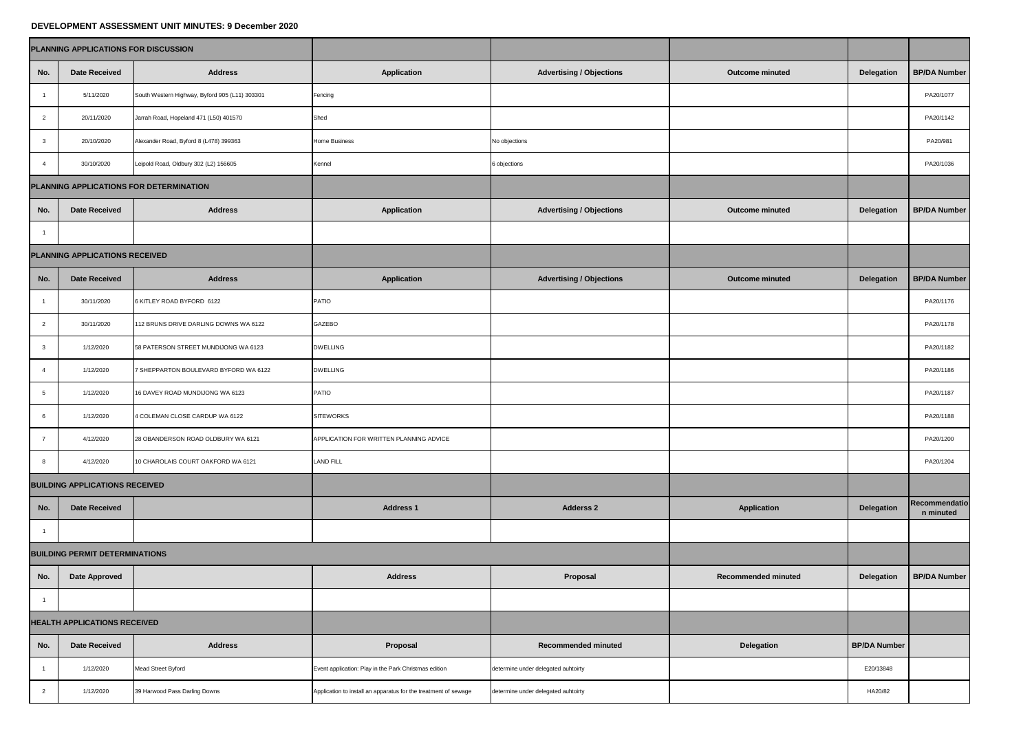## **DEVELOPMENT ASSESSMENT UNIT MINUTES: 9 December 2020**

|                                         | PLANNING APPLICATIONS FOR DISCUSSION  |                                                |                                                                 |                                     |                            |                     |                            |
|-----------------------------------------|---------------------------------------|------------------------------------------------|-----------------------------------------------------------------|-------------------------------------|----------------------------|---------------------|----------------------------|
| No.                                     | <b>Date Received</b>                  | <b>Address</b>                                 | <b>Application</b>                                              | <b>Advertising / Objections</b>     | <b>Outcome minuted</b>     | <b>Delegation</b>   | <b>BP/DA Number</b>        |
|                                         | 5/11/2020                             | South Western Highway, Byford 905 (L11) 303301 | Fencing                                                         |                                     |                            |                     | PA20/1077                  |
|                                         | 20/11/2020                            | Jarrah Road, Hopeland 471 (L50) 401570         | Shed                                                            |                                     |                            |                     | PA20/1142                  |
| $\mathbf{3}$                            | 20/10/2020                            | Alexander Road, Byford 8 (L478) 399363         | <b>Home Business</b>                                            | No objections                       |                            |                     | PA20/981                   |
|                                         | 30/10/2020                            | Leipold Road, Oldbury 302 (L2) 156605          | Kennel                                                          | 6 objections                        |                            |                     | PA20/1036                  |
| PLANNING APPLICATIONS FOR DETERMINATION |                                       |                                                |                                                                 |                                     |                            |                     |                            |
| No.                                     | <b>Date Received</b>                  | <b>Address</b>                                 | <b>Application</b>                                              | <b>Advertising / Objections</b>     | <b>Outcome minuted</b>     | <b>Delegation</b>   | <b>BP/DA Number</b>        |
|                                         |                                       |                                                |                                                                 |                                     |                            |                     |                            |
| PLANNING APPLICATIONS RECEIVED          |                                       |                                                |                                                                 |                                     |                            |                     |                            |
| No.                                     | <b>Date Received</b>                  | <b>Address</b>                                 | <b>Application</b>                                              | <b>Advertising / Objections</b>     | <b>Outcome minuted</b>     | <b>Delegation</b>   | <b>BP/DA Number</b>        |
|                                         | 30/11/2020                            | 6 KITLEY ROAD BYFORD 6122                      | <b>PATIO</b>                                                    |                                     |                            |                     | PA20/1176                  |
| $\overline{2}$                          | 30/11/2020                            | 112 BRUNS DRIVE DARLING DOWNS WA 6122          | <b>GAZEBO</b>                                                   |                                     |                            |                     | PA20/1178                  |
| $\mathbf{3}$                            | 1/12/2020                             | 58 PATERSON STREET MUNDIJONG WA 6123           | <b>DWELLING</b>                                                 |                                     |                            |                     | PA20/1182                  |
| -4                                      | 1/12/2020                             | 7 SHEPPARTON BOULEVARD BYFORD WA 6122          | <b>DWELLING</b>                                                 |                                     |                            |                     | PA20/1186                  |
| 5                                       | 1/12/2020                             | 16 DAVEY ROAD MUNDIJONG WA 6123                | <b>PATIO</b>                                                    |                                     |                            |                     | PA20/1187                  |
| 6                                       | 1/12/2020                             | 4 COLEMAN CLOSE CARDUP WA 6122                 | <b>SITEWORKS</b>                                                |                                     |                            |                     | PA20/1188                  |
| $\overline{7}$                          | 4/12/2020                             | 28 OBANDERSON ROAD OLDBURY WA 6121             | APPLICATION FOR WRITTEN PLANNING ADVICE                         |                                     |                            |                     | PA20/1200                  |
| 8                                       | 4/12/2020                             | 10 CHAROLAIS COURT OAKFORD WA 6121             | <b>LAND FILL</b>                                                |                                     |                            |                     | PA20/1204                  |
| <b>BUILDING APPLICATIONS RECEIVED</b>   |                                       |                                                |                                                                 |                                     |                            |                     |                            |
| No.                                     | <b>Date Received</b>                  |                                                | <b>Address 1</b>                                                | <b>Adderss 2</b>                    | <b>Application</b>         | <b>Delegation</b>   | Recommendatio<br>n minuted |
|                                         |                                       |                                                |                                                                 |                                     |                            |                     |                            |
|                                         | <b>BUILDING PERMIT DETERMINATIONS</b> |                                                |                                                                 |                                     |                            |                     |                            |
| No.                                     | <b>Date Approved</b>                  |                                                | <b>Address</b>                                                  | Proposal                            | <b>Recommended minuted</b> | <b>Delegation</b>   | <b>BP/DA Number</b>        |
|                                         |                                       |                                                |                                                                 |                                     |                            |                     |                            |
| <b>HEALTH APPLICATIONS RECEIVED</b>     |                                       |                                                |                                                                 |                                     |                            |                     |                            |
| No.                                     | <b>Date Received</b>                  | <b>Address</b>                                 | <b>Proposal</b>                                                 | <b>Recommended minuted</b>          | <b>Delegation</b>          | <b>BP/DA Number</b> |                            |
|                                         | 1/12/2020                             | <b>Mead Street Byford</b>                      | Event application: Play in the Park Christmas edition           | determine under delegated auhtoirty |                            | E20/13848           |                            |
| $\overline{2}$                          | 1/12/2020                             | 39 Harwood Pass Darling Downs                  | Application to install an apparatus for the treatment of sewage | determine under delegated auhtoirty |                            | HA20/82             |                            |